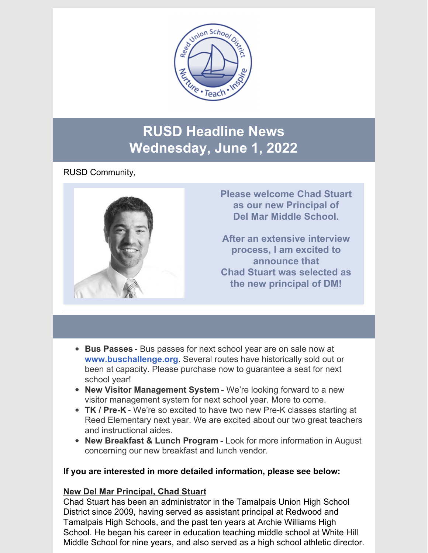

### **RUSD Headline News Wednesday, June 1, 2022**

#### RUSD Community,



- **Bus Passes** Bus passes for next school year are on sale now at **[www.buschallenge.org](http://www.buschallenge.org/)**. Several routes have historically sold out or been at capacity. Please purchase now to guarantee a seat for next school year!
- **New Visitor Management System** We're looking forward to a new visitor management system for next school year. More to come.
- **TK / Pre-K** We're so excited to have two new Pre-K classes starting at Reed Elementary next year. We are excited about our two great teachers and instructional aides.
- **New Breakfast & Lunch Program** Look for more information in August concerning our new breakfast and lunch vendor.

#### **If you are interested in more detailed information, please see below:**

#### **New Del Mar Principal, Chad Stuart**

Chad Stuart has been an administrator in the Tamalpais Union High School District since 2009, having served as assistant principal at Redwood and Tamalpais High Schools, and the past ten years at Archie Williams High School. He began his career in education teaching middle school at White Hill Middle School for nine years, and also served as a high school athletic director.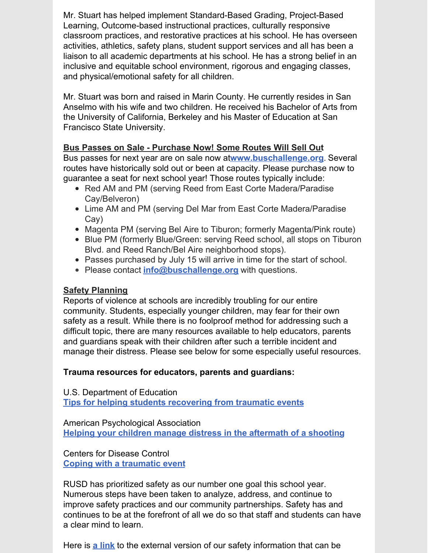Mr. Stuart has helped implement Standard-Based Grading, Project-Based Learning, Outcome-based instructional practices, culturally responsive classroom practices, and restorative practices at his school. He has overseen activities, athletics, safety plans, student support services and all has been a liaison to all academic departments at his school. He has a strong belief in an inclusive and equitable school environment, rigorous and engaging classes, and physical/emotional safety for all children.

Mr. Stuart was born and raised in Marin County. He currently resides in San Anselmo with his wife and two children. He received his Bachelor of Arts from the University of California, Berkeley and his Master of Education at San Francisco State University.

#### **Bus Passes on Sale - Purchase Now! Some Routes Will Sell Out**

Bus passes for next year are on sale now at**[www.buschallenge.org](http://www.buschallenge.org/)**. Several routes have historically sold out or been at capacity. Please purchase now to guarantee a seat for next school year! Those routes typically include:

- Red AM and PM (serving Reed from East Corte Madera/Paradise Cay/Belveron)
- Lime AM and PM (serving Del Mar from East Corte Madera/Paradise Cay)
- Magenta PM (serving Bel Aire to Tiburon; formerly Magenta/Pink route)
- Blue PM (formerly Blue/Green: serving Reed school, all stops on Tiburon Blvd. and Reed Ranch/Bel Aire neighborhood stops).
- Passes purchased by July 15 will arrive in time for the start of school.
- Please contact **[info@buschallenge.org](mailto:info@buschallenge.org)** with questions.

#### **Safety Planning**

Reports of violence at schools are incredibly troubling for our entire community. Students, especially younger children, may fear for their own safety as a result. While there is no foolproof method for addressing such a difficult topic, there are many resources available to help educators, parents and guardians speak with their children after such a terrible incident and manage their distress. Please see below for some especially useful resources.

#### **Trauma resources for educators, parents and guardians:**

U.S. Department of Education **Tips for helping students [recovering](https://files.eric.ed.gov/fulltext/ED488995.pdf) from traumatic events**

American Psychological Association **Helping your children manage distress in the [aftermath](https://www.apa.org/topics/gun-violence-crime/shooting-aftermath) of a shooting**

Centers for Disease Control **Coping with a [traumatic](https://www.cdc.gov/masstrauma/factsheets/public/coping.pdf) event**

RUSD has prioritized safety as our number one goal this school year. Numerous steps have been taken to analyze, address, and continue to improve safety practices and our community partnerships. Safety has and continues to be at the forefront of all we do so that staff and students can have a clear mind to learn.

Here is **a [link](https://www.reedschools.org/Page/2008)** to the external version of our safety information that can be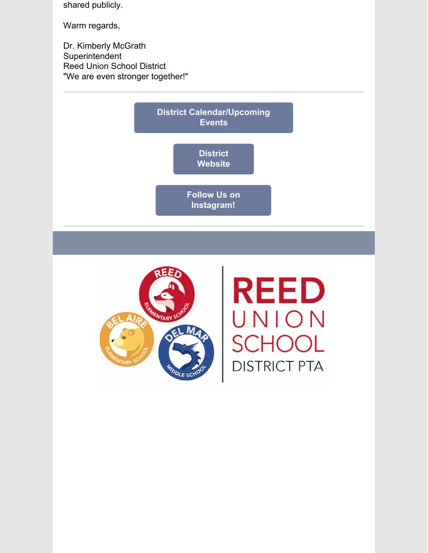shared publicly.

Warm regards,

Dr. Kimberly McGrath Superintendent Reed Union School District "We are even stronger together!"





**REED** UNION SCH **IOOL DISTRICT PTA**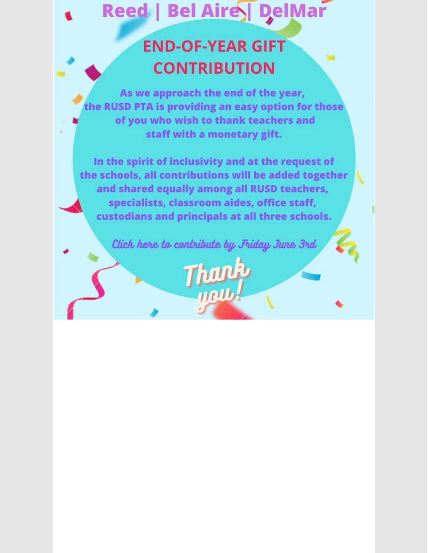# Reed | Bel Aires DelMar

## **END-OF-YEAR GIFT CONTRIBUTION**

**M** 

As we approach the end of the year, the RUSD PTA is providing an easy option for those of you who wish to thank teachers and staff with a monetary gift.

In the spirit of inclusivity and at the request of the schools, all contributions will be added together and shared equally among all RUSD teachers, specialists, classroom aides, office staff, custodians and principals at all three schools.

Click here to contribute by Friday June 3rd